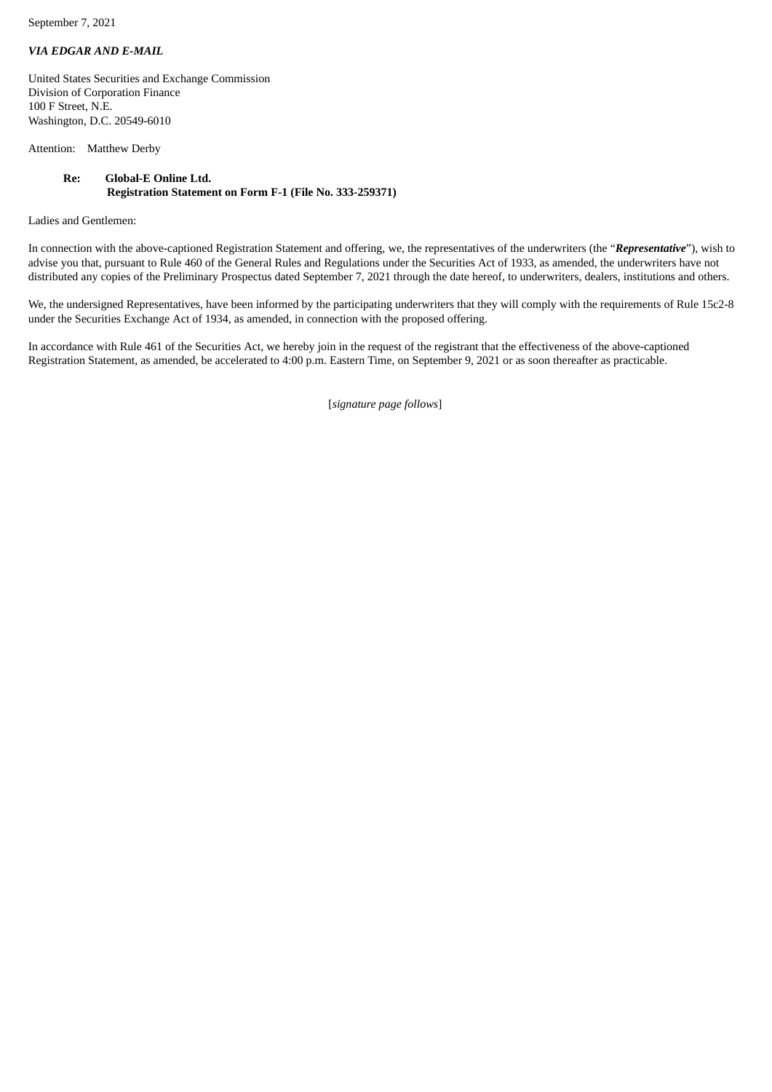September 7, 2021

## *VIA EDGAR AND E-MAIL*

United States Securities and Exchange Commission Division of Corporation Finance 100 F Street, N.E. Washington, D.C. 20549-6010

Attention: Matthew Derby

## **Re: Global-E Online Ltd. Registration Statement on Form F-1 (File No. 333-259371)**

Ladies and Gentlemen:

In connection with the above-captioned Registration Statement and offering, we, the representatives of the underwriters (the "*Representative*"), wish to advise you that, pursuant to Rule 460 of the General Rules and Regulations under the Securities Act of 1933, as amended, the underwriters have not distributed any copies of the Preliminary Prospectus dated September 7, 2021 through the date hereof, to underwriters, dealers, institutions and others.

We, the undersigned Representatives, have been informed by the participating underwriters that they will comply with the requirements of Rule 15c2-8 under the Securities Exchange Act of 1934, as amended, in connection with the proposed offering.

In accordance with Rule 461 of the Securities Act, we hereby join in the request of the registrant that the effectiveness of the above-captioned Registration Statement, as amended, be accelerated to 4:00 p.m. Eastern Time, on September 9, 2021 or as soon thereafter as practicable.

[*signature page follows*]